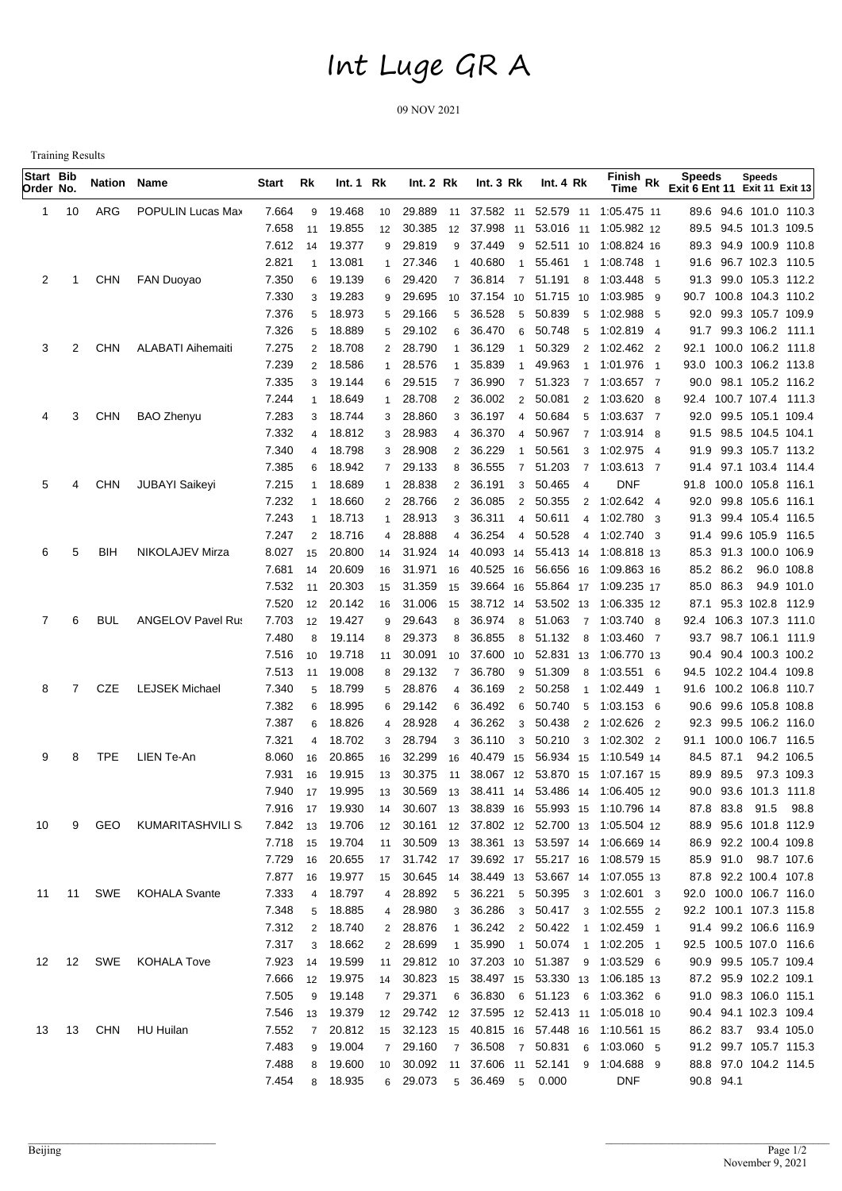## Int Luge GR A

09 NOV 2021

Training Results

| Start Bib<br>Order No. |    | Nation Name |                          | Start | Rk             | Int.1 Rk  |                | Int.2 Rk  |                | Int. $3 Rk$ |                 | Int. $4 Rk$         |                | Finish Rk<br>Time                            | <b>Speeds</b><br>Exit 6 Ent 11 Exit 11 Exit 13 | <b>Speeds</b>          |                        |
|------------------------|----|-------------|--------------------------|-------|----------------|-----------|----------------|-----------|----------------|-------------|-----------------|---------------------|----------------|----------------------------------------------|------------------------------------------------|------------------------|------------------------|
| 1.                     | 10 | ARG         | POPULIN Lucas Max        | 7.664 | 9              | 19.468    | 10             | 29.889 11 |                |             |                 |                     |                | 37.582 11 52.579 11 1:05.475 11              |                                                |                        | 89.6 94.6 101.0 110.3  |
|                        |    |             |                          | 7.658 | 11             | 19.855    | 12             | 30.385    | 12             |             |                 |                     |                | 37.998 11 53.016 11 1:05.982 12              |                                                |                        | 89.5 94.5 101.3 109.5  |
|                        |    |             |                          | 7.612 | 14             | 19.377    | 9              | 29.819    | 9              | 37.449      |                 |                     |                | 9 52.511 10 1:08.824 16                      |                                                |                        | 89.3 94.9 100.9 110.8  |
|                        |    |             |                          | 2.821 | 1              | 13.081    | 1              | 27.346    | $\mathbf{1}$   | 40.680      | $\overline{1}$  |                     |                | 55.461 1 1:08.748 1                          |                                                |                        | 91.6 96.7 102.3 110.5  |
| 2                      |    | CHN         | <b>FAN Duoyao</b>        | 7.350 | 6              | 19.139    | 6              | 29.420    | $\overline{7}$ | 36.814      | $\overline{7}$  | 51.191              | 8              | 1:03.448 5                                   |                                                |                        | 91.3 99.0 105.3 112.2  |
|                        |    |             |                          | 7.330 | 3              | 19.283    | 9              | 29.695    | 10             |             |                 | 37.154 10 51.715 10 |                | 1:03.985 9                                   |                                                |                        | 90.7 100.8 104.3 110.2 |
|                        |    |             |                          | 7.376 | 5              | 18.973    | 5 <sup>5</sup> | 29.166    | 5              | 36.528      | 5               | 50.839              | 5              | 1:02.988 5                                   |                                                |                        | 92.0 99.3 105.7 109.9  |
|                        |    |             |                          | 7.326 | 5              | 18.889    | $5^{\circ}$    | 29.102    | 6              | 36.470      |                 | 6 50.748            | 5              | 1:02.819 4                                   |                                                |                        | 91.7 99.3 106.2 111.1  |
| 3                      | 2  | <b>CHN</b>  | <b>ALABATI Aihemaiti</b> | 7.275 | $\overline{2}$ | 18.708    | $\overline{2}$ | 28.790    | $\mathbf{1}$   | 36.129      | $\overline{1}$  | 50.329              |                | 2 1:02.462 2                                 |                                                |                        | 92.1 100.0 106.2 111.8 |
|                        |    |             |                          | 7.239 | $\overline{2}$ | 18.586    | $\mathbf{1}$   | 28.576    | $\mathbf{1}$   | 35.839      | $\overline{1}$  | 49.963              |                | 1 1:01.976 1                                 |                                                |                        | 93.0 100.3 106.2 113.8 |
|                        |    |             |                          | 7.335 | 3              | 19.144    |                | 6 29.515  | $\overline{7}$ | 36.990      | $\overline{7}$  | 51.323              |                | 7 1:03.657 7                                 |                                                |                        | 90.0 98.1 105.2 116.2  |
|                        |    |             |                          | 7.244 | $\mathbf{1}$   | 18.649    | $\mathbf{1}$   | 28.708    | $\overline{2}$ | 36.002      |                 | 2 50.081            |                | 2 1:03.620 8                                 |                                                |                        | 92.4 100.7 107.4 111.3 |
| 4                      | 3  | <b>CHN</b>  | <b>BAO Zhenyu</b>        | 7.283 | 3              | 18.744    | 3              | 28.860    | 3              | 36.197      |                 | 4 50.684            |                | 5 1:03.637 7                                 |                                                | 92.0 99.5 105.1 109.4  |                        |
|                        |    |             |                          | 7.332 | $\overline{4}$ | 18.812    | 3              | 28.983    | $\overline{4}$ | 36.370      | $\overline{4}$  | 50.967              |                | 7 1:03.914 8                                 |                                                | 91.5 98.5 104.5 104.1  |                        |
|                        |    |             |                          | 7.340 | $\overline{4}$ | 18.798    | 3              | 28.908    | $\overline{2}$ | 36.229      | $\overline{1}$  | 50.561              |                | 3 1:02.975 4                                 |                                                |                        | 91.9 99.3 105.7 113.2  |
|                        |    |             |                          | 7.385 | 6              | 18.942    |                | 7 29.133  | 8              | 36.555      | $\overline{7}$  | 51.203              |                | 7 1:03.613 7                                 |                                                |                        | 91.4 97.1 103.4 114.4  |
| 5                      | 4  | CHN         | <b>JUBAYI Saikeyi</b>    | 7.215 | $\mathbf{1}$   | 18.689    | $\mathbf{1}$   | 28.838    | $\overline{2}$ | 36.191      |                 | 3 50.465            | $\overline{4}$ | DNF                                          |                                                | 91.8 100.0 105.8 116.1 |                        |
|                        |    |             |                          | 7.232 | $\mathbf{1}$   | 18.660    |                | 2 28.766  | $\overline{2}$ | 36.085      |                 | 2 50.355            |                | 2 1:02.642 4                                 |                                                | 92.0 99.8 105.6 116.1  |                        |
|                        |    |             |                          | 7.243 | $\overline{1}$ | 18.713    | $\mathbf{1}$   | 28.913    | 3              | 36.311      |                 | 4 50.611            |                | 4 1:02.780 3                                 |                                                |                        | 91.3 99.4 105.4 116.5  |
|                        |    |             |                          | 7.247 | 2              | 18.716    | $\overline{4}$ | 28.888    | $\overline{4}$ | 36.254      |                 | 4 50.528            | $\overline{4}$ | 1:02.740 3                                   |                                                |                        | 91.4 99.6 105.9 116.5  |
| 6                      | 5  | BIH         | NIKOLAJEV Mirza          | 8.027 | 15             | 20.800    | 14             | 31.924 14 |                |             |                 | 40.093 14 55.413 14 |                | 1:08.818 13                                  |                                                | 85.3 91.3 100.0 106.9  |                        |
|                        |    |             |                          | 7.681 | 14             | 20.609    | 16             | 31.971    | 16             |             |                 | 40.525 16 56.656 16 |                | 1:09.863 16                                  | 85.2 86.2                                      |                        | 96.0 108.8             |
|                        |    |             |                          | 7.532 | 11             | 20.303    | 15             | 31.359    | 15             |             |                 |                     |                | 39.664 16 55.864 17 1:09.235 17              | 85.0 86.3                                      |                        | 94.9 101.0             |
|                        |    |             |                          | 7.520 | 12             | 20.142    | 16             | 31.006    | 15             |             |                 |                     |                | 38.712 14 53.502 13 1:06.335 12              |                                                |                        | 87.1 95.3 102.8 112.9  |
| 7                      | 6  | BUL         | <b>ANGELOV Pavel Rus</b> | 7.703 | 12             | 19.427    | 9              | 29.643    | 8              | 36.974      |                 |                     |                | 8 51.063 7 1:03.740 8                        |                                                |                        | 92.4 106.3 107.3 111.0 |
|                        |    |             |                          | 7.480 | 8              | 19.114    | 8              | 29.373    | 8              | 36.855      |                 | 8 51.132            |                | 8 1:03.460 7                                 |                                                |                        | 93.7 98.7 106.1 111.9  |
|                        |    |             |                          | 7.516 | 10             | 19.718    | 11             | 30.091    | 10             |             |                 |                     |                | 37.600 10 52.831 13 1:06.770 13              |                                                | 90.4 90.4 100.3 100.2  |                        |
|                        |    |             |                          | 7.513 | 11             | 19.008    | 8              | 29.132    | $\overline{7}$ | 36.780      |                 | 9 51.309            |                | 8 1:03.551 6                                 |                                                | 94.5 102.2 104.4 109.8 |                        |
| 8                      |    | CZE         | <b>LEJSEK Michael</b>    | 7.340 | 5              | 18.799    | 5              | 28.876    | 4              | 36.169      |                 | 2 50.258            |                | 1 1:02.449<br>$\overline{\phantom{1}}$       |                                                | 91.6 100.2 106.8 110.7 |                        |
|                        |    |             |                          | 7.382 | 6              | 18.995    | 6              | 29.142    | 6              | 36.492      | 6               | 50.740              | 5              | 1:03.153 6                                   |                                                | 90.6 99.6 105.8 108.8  |                        |
|                        |    |             |                          | 7.387 | 6              | 18.826    | 4              | 28.928    | 4              | 36.262      | $\mathbf{3}$    | 50.438              |                | 2 1:02.626 2                                 |                                                |                        | 92.3 99.5 106.2 116.0  |
|                        |    |             |                          | 7.321 | 4              | 18.702    | 3              | 28.794    | 3              | 36.110      | $\mathbf{3}$    | 50.210              |                | 3 1:02.302 2                                 |                                                |                        | 91.1 100.0 106.7 116.5 |
| 9                      | 8  | <b>TPE</b>  | LIEN Te-An               | 8.060 | 16             | 20.865    | 16             | 32.299    | 16             |             |                 | 40.479 15 56.934 15 |                | 1:10.549 14                                  | 84.5 87.1                                      |                        | 94.2 106.5             |
|                        |    |             |                          | 7.931 | 16             | 19.915    | 13             | 30.375    | 11             |             |                 | 38.067 12 53.870 15 |                | 1:07.167 15                                  | 89.9 89.5                                      |                        | 97.3 109.3             |
|                        |    |             |                          | 7.940 |                | 17 19.995 |                |           |                |             |                 |                     |                | 13 30.569 13 38.411 14 53.486 14 1:06.405 12 |                                                |                        | 90.0 93.6 101.3 111.8  |
|                        |    |             |                          | 7.916 | 17             | 19.930    | 14             | 30.607 13 |                |             |                 |                     |                | 38.839 16 55.993 15 1:10.796 14              | 87.8 83.8                                      | 91.5                   | 98.8                   |
| 10                     | 9  | GEO         | KUMARITASHVILI S         | 7.842 | 13             | 19.706    | 12             |           |                |             |                 |                     |                | 30.161 12 37.802 12 52.700 13 1:05.504 12    |                                                |                        | 88.9 95.6 101.8 112.9  |
|                        |    |             |                          | 7.718 | 15             | 19.704    | 11             |           |                |             |                 |                     |                | 30.509 13 38.361 13 53.597 14 1:06.669 14    |                                                | 86.9 92.2 100.4 109.8  |                        |
|                        |    |             |                          | 7.729 | 16             | 20.655    |                |           |                |             |                 |                     |                | 17 31.742 17 39.692 17 55.217 16 1:08.579 15 |                                                | 85.9 91.0 98.7 107.6   |                        |
|                        |    |             |                          | 7.877 | 16             | 19.977    |                |           |                |             |                 |                     |                | 15 30.645 14 38.449 13 53.667 14 1:07.055 13 |                                                | 87.8 92.2 100.4 107.8  |                        |
| 11                     | 11 |             | SWE KOHALA Svante        | 7.333 | 4              | 18.797    |                | 4 28.892  |                | 5 36.221    |                 |                     |                | 5 50.395 3 1:02.601 3                        |                                                |                        | 92.0 100.0 106.7 116.0 |
|                        |    |             |                          | 7.348 | 5              | 18.885    |                | 4 28.980  |                | 3 36.286    |                 |                     |                | 3 50.417 3 1:02.555 2                        |                                                |                        | 92.2 100.1 107.3 115.8 |
|                        |    |             |                          | 7.312 | $\overline{2}$ | 18.740    |                | 2 28.876  |                |             |                 |                     |                | 1 36.242 2 50.422 1 1:02.459 1               |                                                |                        | 91.4 99.2 106.6 116.9  |
|                        |    |             |                          | 7.317 | 3              | 18.662    |                | 2 28.699  | 1              | 35.990      |                 |                     |                | 1 50.074 1 1:02.205 1                        |                                                |                        | 92.5 100.5 107.0 116.6 |
| 12                     | 12 | SWE         | KOHALA Tove              | 7.923 | 14             | 19.599    |                |           |                |             |                 |                     |                | 11 29.812 10 37.203 10 51.387 9 1:03.529 6   |                                                | 90.9 99.5 105.7 109.4  |                        |
|                        |    |             |                          | 7.666 | 12             | 19.975    | 14             |           |                |             |                 |                     |                | 30.823 15 38.497 15 53.330 13 1:06.185 13    |                                                | 87.2 95.9 102.2 109.1  |                        |
|                        |    |             |                          | 7.505 | 9              | 19.148    |                | 7 29.371  |                |             |                 |                     |                | 6 36.830 6 51.123 6 1:03.362 6               |                                                | 91.0 98.3 106.0 115.1  |                        |
|                        |    |             |                          | 7.546 | 13             | 19.379    |                |           |                |             |                 |                     |                | 12 29.742 12 37.595 12 52.413 11 1:05.018 10 |                                                | 90.4 94.1 102.3 109.4  |                        |
| 13                     | 13 |             | CHN HU Huilan            | 7.552 | $\overline{7}$ | 20.812    |                |           |                |             |                 |                     |                | 15 32.123 15 40.815 16 57.448 16 1:10.561 15 | 86.2 83.7                                      |                        | 93.4 105.0             |
|                        |    |             |                          | 7.483 | 9              | 19.004    |                | 7 29.160  |                |             |                 |                     |                | 7 36.508 7 50.831 6 1:03.060 5               |                                                |                        | 91.2 99.7 105.7 115.3  |
|                        |    |             |                          | 7.488 | 8              | 19.600    |                |           |                |             |                 |                     |                | 10 30.092 11 37.606 11 52.141 9 1:04.688 9   |                                                |                        | 88.8 97.0 104.2 114.5  |
|                        |    |             |                          | 7.454 |                | 8 18.935  |                | 6 29.073  |                | 5 36.469    | $5\overline{)}$ | 0.000               |                | <b>DNF</b>                                   | 90.8 94.1                                      |                        |                        |
|                        |    |             |                          |       |                |           |                |           |                |             |                 |                     |                |                                              |                                                |                        |                        |